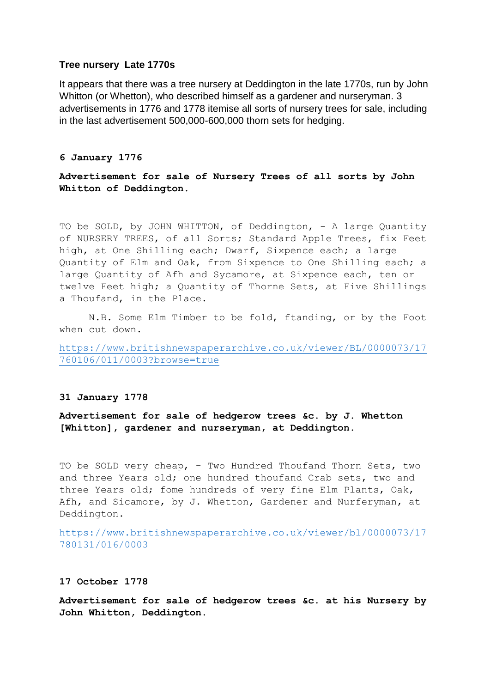# **Tree nursery Late 1770s**

It appears that there was a tree nursery at Deddington in the late 1770s, run by John Whitton (or Whetton), who described himself as a gardener and nurseryman, 3 advertisements in 1776 and 1778 itemise all sorts of nursery trees for sale, including in the last advertisement 500,000-600,000 thorn sets for hedging.

# **6 January 1776**

**Advertisement for sale of Nursery Trees of all sorts by John Whitton of Deddington.**

TO be SOLD, by JOHN WHITTON, of Deddington, - A large Quantity of NURSERY TREES, of all Sorts; Standard Apple Trees, fix Feet high, at One Shilling each; Dwarf, Sixpence each; a large Quantity of Elm and Oak, from Sixpence to One Shilling each; a large Quantity of Afh and Sycamore, at Sixpence each, ten or twelve Feet high; a Quantity of Thorne Sets, at Five Shillings a Thoufand, in the Place.

N.B. Some Elm Timber to be fold, ftanding, or by the Foot when cut down.

[https://www.britishnewspaperarchive.co.uk/viewer/BL/0000073/17](https://www.britishnewspaperarchive.co.uk/viewer/BL/0000073/17760106/011/0003?browse=true) [760106/011/0003?browse=true](https://www.britishnewspaperarchive.co.uk/viewer/BL/0000073/17760106/011/0003?browse=true)

#### **31 January 1778**

**Advertisement for sale of hedgerow trees &c. by J. Whetton [Whitton], gardener and nurseryman, at Deddington.**

TO be SOLD very cheap, - Two Hundred Thoufand Thorn Sets, two and three Years old; one hundred thoufand Crab sets, two and three Years old; fome hundreds of very fine Elm Plants, Oak, Afh, and Sicamore, by J. Whetton, Gardener and Nurferyman, at Deddington.

[https://www.britishnewspaperarchive.co.uk/viewer/bl/0000073/17](https://www.britishnewspaperarchive.co.uk/viewer/bl/0000073/17780131/016/0003) [780131/016/0003](https://www.britishnewspaperarchive.co.uk/viewer/bl/0000073/17780131/016/0003)

### **17 October 1778**

**Advertisement for sale of hedgerow trees &c. at his Nursery by John Whitton, Deddington.**